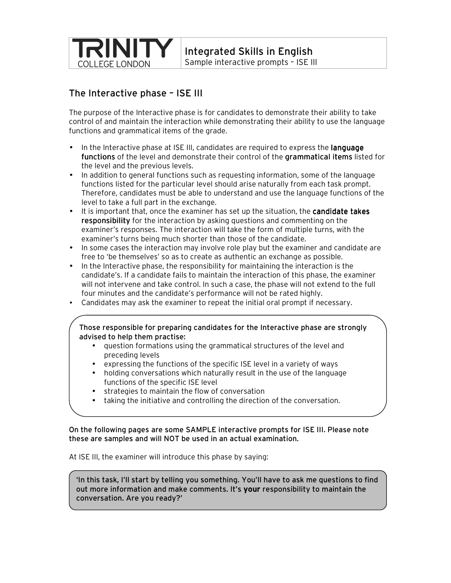

Integrated Skills in English

Sample interactive prompts – ISE III

# The Interactive phase – ISE III

The purpose of the Interactive phase is for candidates to demonstrate their ability to take control of and maintain the interaction while demonstrating their ability to use the language functions and grammatical items of the grade.

- In the Interactive phase at ISE III, candidates are required to express the **language** functions of the level and demonstrate their control of the grammatical items listed for the level and the previous levels.
- In addition to general functions such as requesting information, some of the language functions listed for the particular level should arise naturally from each task prompt. Therefore, candidates must be able to understand and use the language functions of the level to take a full part in the exchange.
- It is important that, once the examiner has set up the situation, the candidate takes responsibility for the interaction by asking questions and commenting on the examiner's responses. The interaction will take the form of multiple turns, with the examiner's turns being much shorter than those of the candidate.
- In some cases the interaction may involve role play but the examiner and candidate are free to 'be themselves' so as to create as authentic an exchange as possible.
- In the Interactive phase, the responsibility for maintaining the interaction is the candidate's. If a candidate fails to maintain the interaction of this phase, the examiner will not intervene and take control. In such a case, the phase will not extend to the full four minutes and the candidate's performance will not be rated highly.
- Candidates may ask the examiner to repeat the initial oral prompt if necessary.

## Those responsible for preparing candidates for the Interactive phase are strongly advised to help them practise:

- question formations using the grammatical structures of the level and preceding levels
- expressing the functions of the specific ISE level in a variety of ways
- holding conversations which naturally result in the use of the language functions of the specific ISE level
- strategies to maintain the flow of conversation
- taking the initiative and controlling the direction of the conversation.

On the following pages are some SAMPLE interactive prompts for ISE III. Please note these are samples and will NOT be used in an actual examination.

At ISE III, the examiner will introduce this phase by saying:

'In this task, I'll start by telling you something. You'll have to ask me questions to find out more information and make comments. It's your responsibility to maintain the conversation. Are you ready?'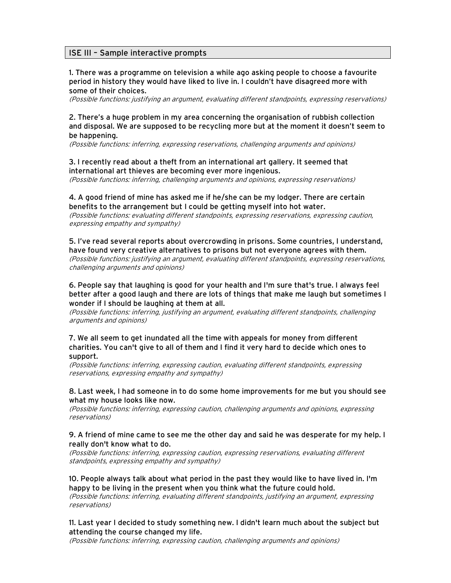## ISE III – Sample interactive prompts

1. There was a programme on television a while ago asking people to choose a favourite period in history they would have liked to live in. I couldn't have disagreed more with some of their choices.

(Possible functions: justifying an argument, evaluating different standpoints, expressing reservations)

## 2. There's a huge problem in my area concerning the organisation of rubbish collection and disposal. We are supposed to be recycling more but at the moment it doesn't seem to be happening.

(Possible functions: inferring, expressing reservations, challenging arguments and opinions)

## 3. I recently read about a theft from an international art gallery. It seemed that international art thieves are becoming ever more ingenious.

(Possible functions: inferring, challenging arguments and opinions, expressing reservations)

### 4. A good friend of mine has asked me if he/she can be my lodger. There are certain benefits to the arrangement but I could be getting myself into hot water.

(Possible functions: evaluating different standpoints, expressing reservations, expressing caution, expressing empathy and sympathy)

### 5. I've read several reports about overcrowding in prisons. Some countries, I understand, have found very creative alternatives to prisons but not everyone agrees with them.

(Possible functions: justifying an argument, evaluating different standpoints, expressing reservations, challenging arguments and opinions)

### 6. People say that laughing is good for your health and I'm sure that's true. I always feel better after a good laugh and there are lots of things that make me laugh but sometimes I wonder if I should be laughing at them at all.

(Possible functions: inferring, justifying an argument, evaluating different standpoints, challenging arguments and opinions)

#### 7. We all seem to get inundated all the time with appeals for money from different charities. You can't give to all of them and I find it very hard to decide which ones to support.

(Possible functions: inferring, expressing caution, evaluating different standpoints, expressing reservations, expressing empathy and sympathy)

### 8. Last week, I had someone in to do some home improvements for me but you should see what my house looks like now.

(Possible functions: inferring, expressing caution, challenging arguments and opinions, expressing reservations)

#### 9. A friend of mine came to see me the other day and said he was desperate for my help. I really don't know what to do.

(Possible functions: inferring, expressing caution, expressing reservations, evaluating different standpoints, expressing empathy and sympathy)

### 10. People always talk about what period in the past they would like to have lived in. I'm happy to be living in the present when you think what the future could hold.

(Possible functions: inferring, evaluating different standpoints, justifying an argument, expressing reservations)

## 11. Last year I decided to study something new. I didn't learn much about the subject but attending the course changed my life.

(Possible functions: inferring, expressing caution, challenging arguments and opinions)